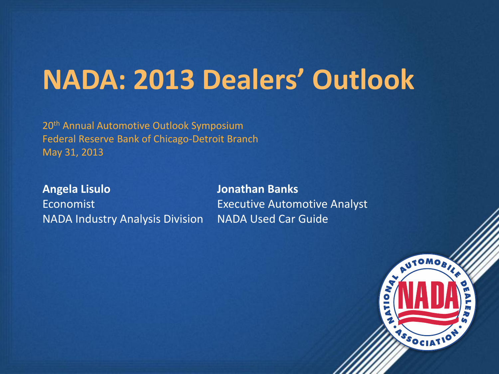# **NADA: 2013 Dealers' Outlook**

20<sup>th</sup> Annual Automotive Outlook Symposium Federal Reserve Bank of Chicago-Detroit Branch May 31, 2013

**Angela Lisulo** Economist NADA Industry Analysis Division

**Jonathan Banks** Executive Automotive Analyst NADA Used Car Guide

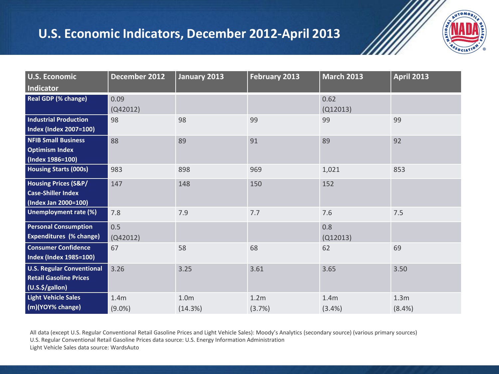### **U.S. Economic Indicators, December 2012-April 2013**



| <b>U.S. Economic</b>                                                                   | December 2012                 | January 2013                | <b>February 2013</b>       | <b>March 2013</b> | <b>April 2013</b>          |
|----------------------------------------------------------------------------------------|-------------------------------|-----------------------------|----------------------------|-------------------|----------------------------|
| Indicator                                                                              |                               |                             |                            |                   |                            |
| <b>Real GDP (% change)</b>                                                             | 0.09<br>(Q42012)              |                             |                            | 0.62<br>(Q12013)  |                            |
| <b>Industrial Production</b><br><b>Index (Index 2007=100)</b>                          | 98                            | 98                          | 99                         | 99                | 99                         |
| <b>NFIB Small Business</b><br><b>Optimism Index</b><br>(Index 1986=100)                | 88                            | 89                          | 91                         | 89                | 92                         |
| <b>Housing Starts (000s)</b>                                                           | 983                           | 898                         | 969                        | 1,021             | 853                        |
| <b>Housing Prices (S&amp;P/</b><br><b>Case-Shiller Index</b><br>(Index Jan 2000=100)   | 147                           | 148                         | 150                        | 152               |                            |
| Unemployment rate (%)                                                                  | 7.8                           | 7.9                         | 7.7                        | 7.6               | 7.5                        |
| <b>Personal Consumption</b><br><b>Expenditures (% change)</b>                          | 0.5<br>(Q42012)               |                             |                            | 0.8<br>(Q12013)   |                            |
| <b>Consumer Confidence</b><br>Index (Index 1985=100)                                   | 67                            | 58                          | 68                         | 62                | 69                         |
| <b>U.S. Regular Conventional</b><br><b>Retail Gasoline Prices</b><br>$(U.S.\$/gallon)$ | 3.26                          | 3.25                        | 3.61                       | 3.65              | 3.50                       |
| <b>Light Vehicle Sales</b><br>(m)(YOY% change)                                         | 1.4 <sub>m</sub><br>$(9.0\%)$ | 1.0 <sub>m</sub><br>(14.3%) | 1.2 <sub>m</sub><br>(3.7%) | 1.4m<br>(3.4%)    | 1.3 <sub>m</sub><br>(8.4%) |

All data (except U.S. Regular Conventional Retail Gasoline Prices and Light Vehicle Sales): Moody's Analytics (secondary source) (various primary sources) U.S. Regular Conventional Retail Gasoline Prices data source: U.S. Energy Information Administration Light Vehicle Sales data source: WardsAuto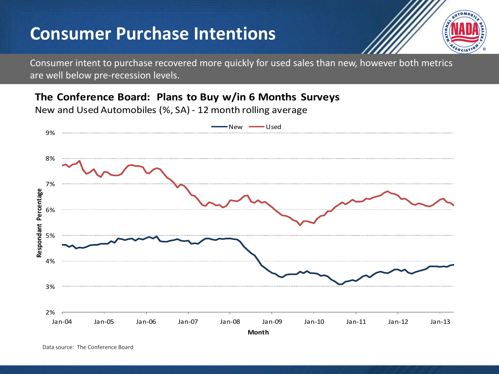## **Consumer Purchase Intentions**



Consumer intent to purchase recovered more quickly for used sales than new, however both metrics are well below pre-recession levels.

**The Conference Board: Plans to Buy w/in 6 Months Surveys**

New and Used Automobiles (%, SA) - 12 month rolling average



Data source: The Conference Board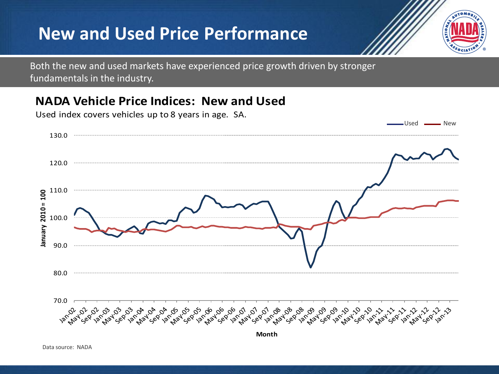## **New and Used Price Performance**



Both the new and used markets have experienced price growth driven by stronger fundamentals in the industry.

### **NADA Vehicle Price Indices: New and Used**

Used **----------** New 130.0  $120.0 -$ 110.0 lanuary 2010 = 100 **January 2010 = 100** 100.0 90.0 80.0 70.0

**Month**

Used index covers vehicles up to 8 years in age. SA.

Data source: NADA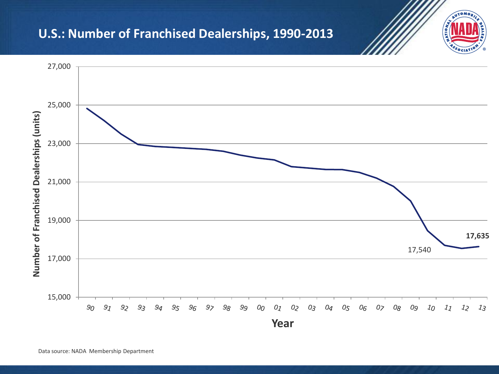### **U.S.: Number of Franchised Dealerships, 1990-2013**



AUTOMO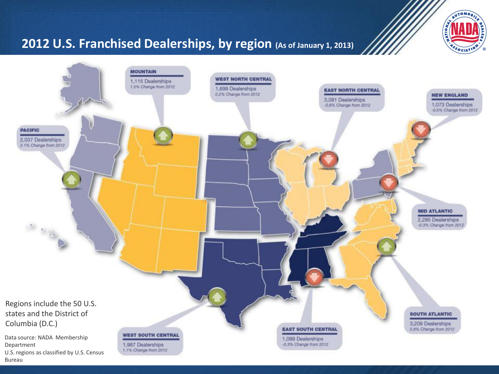

### **2012 U.S. Franchised Dealerships, by region (As of January 1, 2013)**



Bureau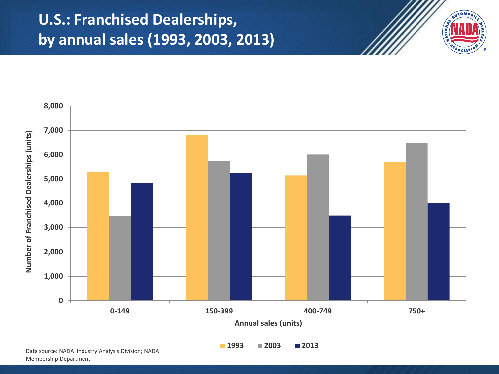## **U.S.: Franchised Dealerships, by annual sales (1993, 2003, 2013)**





Data source: NADA Industry Analysis Division; NADA Membership Department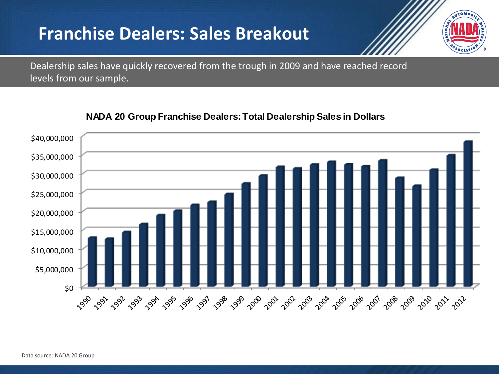## **Franchise Dealers: Sales Breakout**



Dealership sales have quickly recovered from the trough in 2009 and have reached record levels from our sample.



#### **NADA 20 Group Franchise Dealers: Total Dealership Sales in Dollars**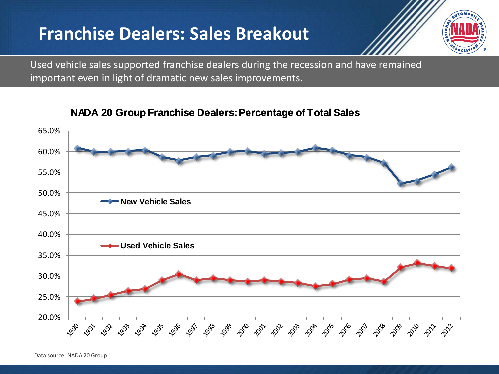## **Franchise Dealers: Sales Breakout**



Used vehicle sales supported franchise dealers during the recession and have remained important even in light of dramatic new sales improvements.



**NADA 20 Group Franchise Dealers: Percentage of Total Sales**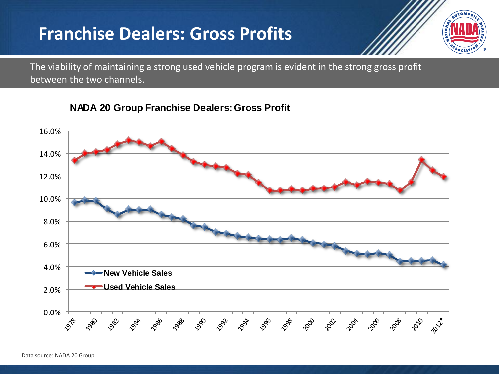## **Franchise Dealers: Gross Profits**



The viability of maintaining a strong used vehicle program is evident in the strong gross profit between the two channels.

#### **NADA 20 Group Franchise Dealers: Gross Profit**



Data source: NADA 20 Group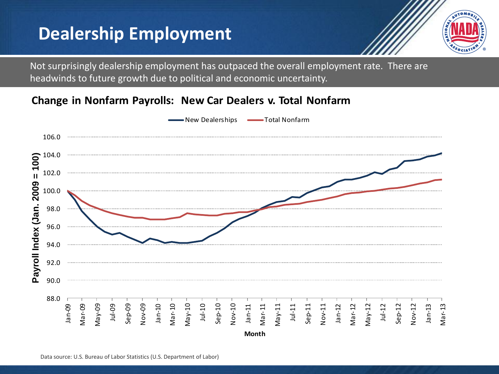## **Dealership Employment**



Not surprisingly dealership employment has outpaced the overall employment rate. There are headwinds to future growth due to political and economic uncertainty.

#### **Change in Nonfarm Payrolls: New Car Dealers v. Total Nonfarm**

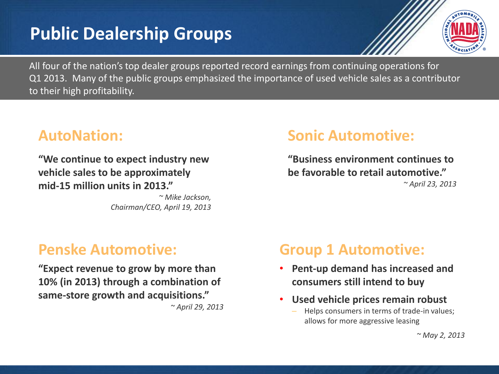## **Public Dealership Groups**



All four of the nation's top dealer groups reported record earnings from continuing operations for Q1 2013. Many of the public groups emphasized the importance of used vehicle sales as a contributor to their high profitability.

### **AutoNation:**

**"We continue to expect industry new vehicle sales to be approximately mid-15 million units in 2013."** 

> *~ Mike Jackson, Chairman/CEO, April 19, 2013*

### **Sonic Automotive:**

**"Business environment continues to be favorable to retail automotive."**  *~ April 23, 2013*

### **Penske Automotive:**

**"Expect revenue to grow by more than 10% (in 2013) through a combination of same-store growth and acquisitions."** *~ April 29, 2013*

### **Group 1 Automotive:**

- **Pent-up demand has increased and consumers still intend to buy**
- **Used vehicle prices remain robust**
	- Helps consumers in terms of trade-in values; allows for more aggressive leasing

*~ May 2, 2013*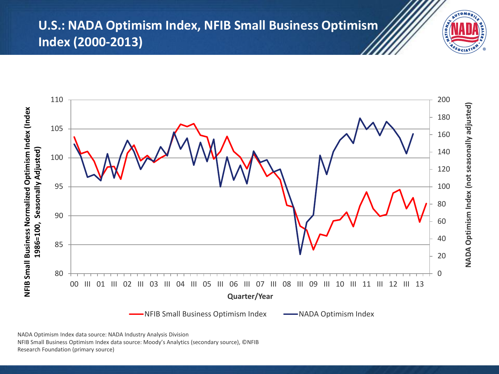### **U.S.: NADA Optimism Index, NFIB Small Business Optimism Index (2000-2013)**



NADA Optimism Index data source: NADA Industry Analysis Division NFIB Small Business Optimism Index data source: Moody's Analytics (secondary source), ©NFIB

Research Foundation (primary source)